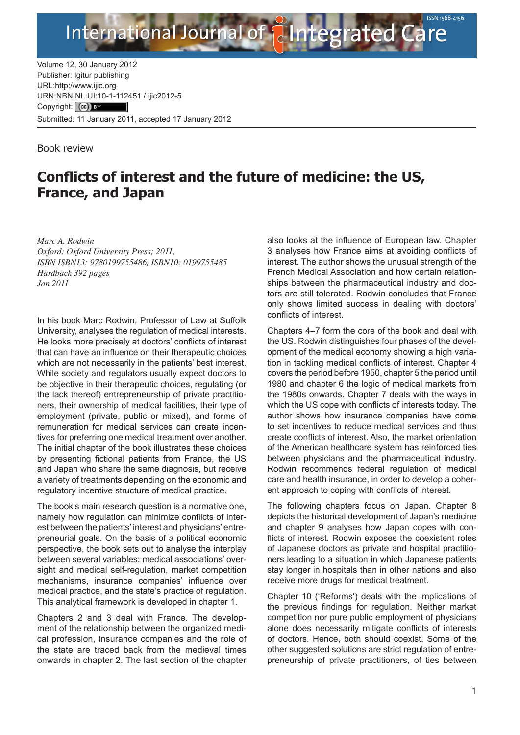

Volume 12, 30 January 2012 Publisher: Igitur publishing [URL:http://www.ijic.org](http://www.ijic.org) URN:NBN[:NL:UI:10-1-1124](http://creativecommons.org/licenses/by/3.0/)51 / ijic2012-5 Copyright: (cc) TEY Submitted: 11 January 2011, accepted 17 January 2012

Book review

## **Conflicts of interest and the future of medicine: the US, France, and Japan**

*Marc A. Rodwin Oxford: Oxford University Press; 2011, ISBN ISBN13: 9780199755486, ISBN10: 0199755485 Hardback 392 pages Jan 2011*

In his book Marc Rodwin, Professor of Law at Suffolk University, analyses the regulation of medical interests. He looks more precisely at doctors' conflicts of interest that can have an influence on their therapeutic choices which are not necessarily in the patients' best interest. While society and regulators usually expect doctors to be objective in their therapeutic choices, regulating (or the lack thereof) entrepreneurship of private practitioners, their ownership of medical facilities, their type of employment (private, public or mixed), and forms of remuneration for medical services can create incentives for preferring one medical treatment over another. The initial chapter of the book illustrates these choices by presenting fictional patients from France, the US and Japan who share the same diagnosis, but receive a variety of treatments depending on the economic and regulatory incentive structure of medical practice.

The book's main research question is a normative one, namely how regulation can minimize conflicts of interest between the patients' interest and physicians' entrepreneurial goals. On the basis of a political economic perspective, the book sets out to analyse the interplay between several variables: medical associations' oversight and medical self-regulation, market competition mechanisms, insurance companies' influence over medical practice, and the state's practice of regulation. This analytical framework is developed in chapter 1.

Chapters 2 and 3 deal with France. The development of the relationship between the organized medical profession, insurance companies and the role of the state are traced back from the medieval times onwards in chapter 2. The last section of the chapter also looks at the influence of European law. Chapter 3 analyses how France aims at avoiding conflicts of interest. The author shows the unusual strength of the French Medical Association and how certain relationships between the pharmaceutical industry and doctors are still tolerated. Rodwin concludes that France only shows limited success in dealing with doctors' conflicts of interest.

Chapters 4–7 form the core of the book and deal with the US. Rodwin distinguishes four phases of the development of the medical economy showing a high variation in tackling medical conflicts of interest. Chapter 4 covers the period before 1950, chapter 5 the period until 1980 and chapter 6 the logic of medical markets from the 1980s onwards. Chapter 7 deals with the ways in which the US cope with conflicts of interests today. The author shows how insurance companies have come to set incentives to reduce medical services and thus create conflicts of interest. Also, the market orientation of the American healthcare system has reinforced ties between physicians and the pharmaceutical industry. Rodwin recommends federal regulation of medical care and health insurance, in order to develop a coherent approach to coping with conflicts of interest.

The following chapters focus on Japan. Chapter 8 depicts the historical development of Japan's medicine and chapter 9 analyses how Japan copes with conflicts of interest. Rodwin exposes the coexistent roles of Japanese doctors as private and hospital practitioners leading to a situation in which Japanese patients stay longer in hospitals than in other nations and also receive more drugs for medical treatment.

Chapter 10 ('Reforms') deals with the implications of the previous findings for regulation. Neither market competition nor pure public employment of physicians alone does necessarily mitigate conflicts of interests of doctors. Hence, both should coexist. Some of the other suggested solutions are strict regulation of entrepreneurship of private practitioners, of ties between